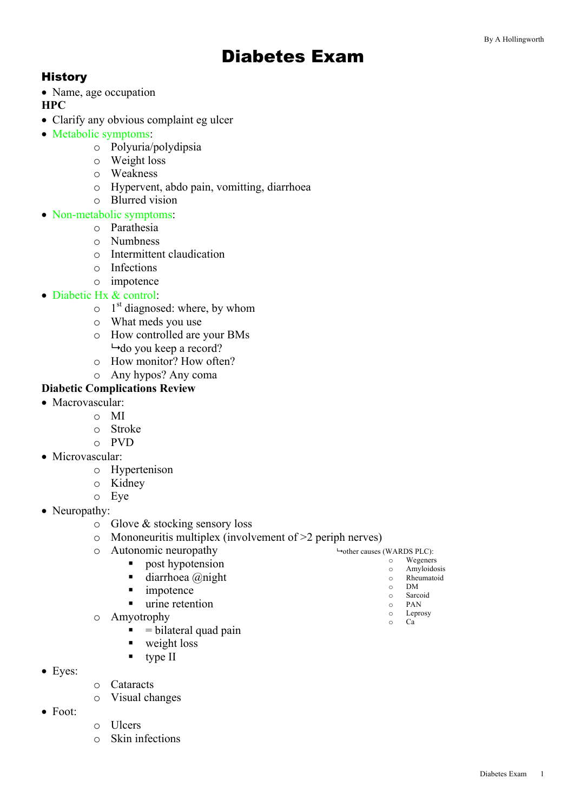# Diabetes Exam

## **History**

• Name, age occupation

**HPC**

- Clarify any obvious complaint eg ulcer
- Metabolic symptoms:
	- o Polyuria/polydipsia
	- o Weight loss
	- o Weakness
	- o Hypervent, abdo pain, vomitting, diarrhoea
	- o Blurred vision

#### • Non-metabolic symptoms:

- o Parathesia
- o Numbness
- o Intermittent claudication
- o Infections
- o impotence
- Diabetic Hx & control:
	- $\circ$  1<sup>st</sup> diagnosed: where, by whom
	- o What meds you use
	- o How controlled are your BMs  $\rightarrow$ do you keep a record?
	- o How monitor? How often?
	- o Any hypos? Any coma

#### **Diabetic Complications Review**

- Macrovascular:
	- o MI
		- o Stroke
		- o PVD
- Microvascular:
	- o Hypertenison
	- o Kidney
	- o Eye
- Neuropathy:
	- o Glove & stocking sensory loss

■ post hypotension  $\blacksquare$  diarrhoea @night

 $\blacksquare$  = bilateral quad pain

- $\circ$  Mononeuritis multiplex (involvement of  $>2$  periph nerves)
- o Autonomic neuropathy

■ impotence ■ urine retention

■ weight loss  $\blacksquare$  type II

- 9 other causes (WARDS PLC): o Wegeners
	- o Amyloidosis
	- o Rheumatoid
	- o DM Sarcoid
	- o PAN
	- o Leprosy
	- o Ca

- Eyes:
- o Cataracts
- o Visual changes

o Amyotrophy

- Foot:
- o Ulcers
- o Skin infections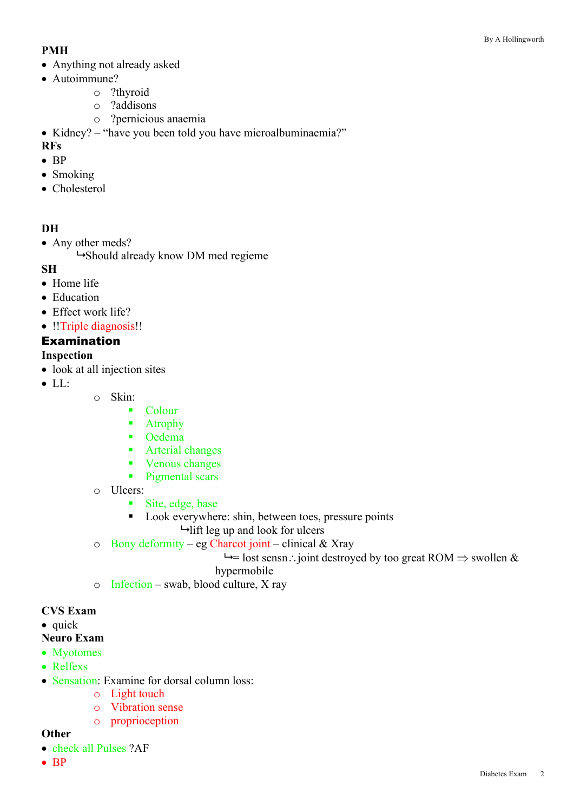### **PMH**

- Anything not already asked
- Autoimmune?
	- o ?thyroid
	- o ?addisons
	- o ?pernicious anaemia

• Kidney? – "have you been told you have microalbuminaemia?"

### **RFs**

- BP
- Smoking
- Cholesterol

## **DH**

• Any other meds?

 $\rightarrow$ Should already know DM med regieme

## **SH**

- Home life
- Education
- Effect work life?
- !!Triple diagnosis!!

# Examination

# **Inspection**

- look at all injection sites
- LL:
- o Skin:
	- § Colour
	- Atrophy
	- Oedema
	- Arterial changes
	- Venous changes
	- Pigmental scars
- o Ulcers:
	- Site, edge, base
	- Look everywhere: shin, between toes, pressure points  $\rightarrow$  lift leg up and look for ulcers
- o Bony deformity eg Charcot joint clinical & Xray

 $\rightarrow$  lost sensn: joint destroyed by too great ROM  $\Rightarrow$  swollen &

#### hypermobile

o Infection – swab, blood culture, X ray

#### **CVS Exam**

- quick
- **Neuro Exam**
- Myotomes
- Relfexs
- Sensation: Examine for dorsal column loss:
	- o Light touch
	- o Vibration sense
	- o proprioception

#### **Other**

- check all Pulses ?AF
- BP